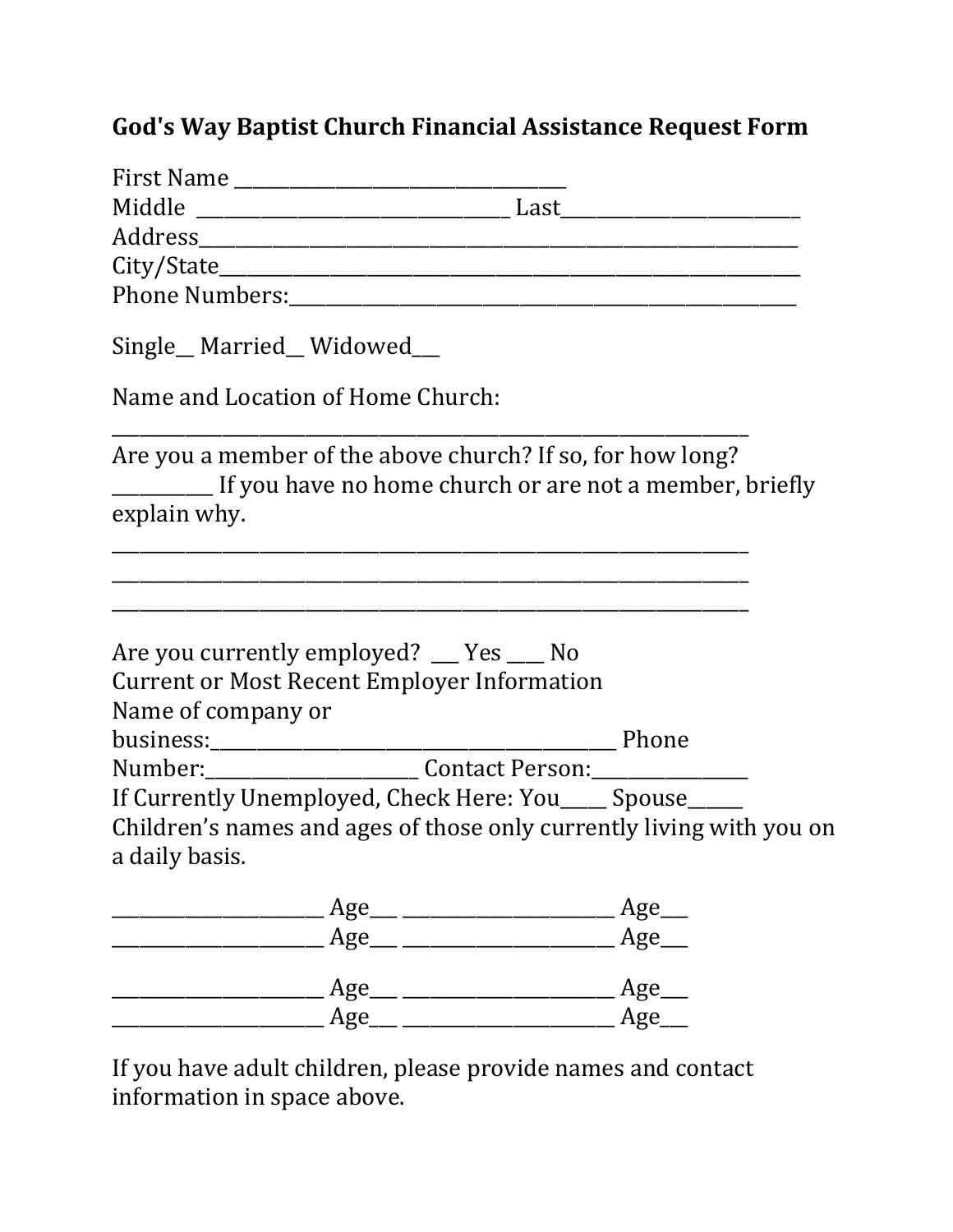## God's Way Baptist Church Financial Assistance Request Form

| Single_Married_Widowed_                                                                                               |                                                                                                                       |
|-----------------------------------------------------------------------------------------------------------------------|-----------------------------------------------------------------------------------------------------------------------|
| Name and Location of Home Church:                                                                                     |                                                                                                                       |
| Are you a member of the above church? If so, for how long?<br>If you have no home church or are not a member, briefly |                                                                                                                       |
| explain why.                                                                                                          |                                                                                                                       |
|                                                                                                                       |                                                                                                                       |
|                                                                                                                       | <u> 1989 - Johann Harry Harry Harry Harry Harry Harry Harry Harry Harry Harry Harry Harry Harry Harry Harry Harry</u> |
|                                                                                                                       |                                                                                                                       |
| Are you currently employed? __ Yes __ No                                                                              |                                                                                                                       |
| <b>Current or Most Recent Employer Information</b>                                                                    |                                                                                                                       |
| Name of company or                                                                                                    |                                                                                                                       |
|                                                                                                                       |                                                                                                                       |
|                                                                                                                       |                                                                                                                       |
| If Currently Unemployed, Check Here: You_____ Spouse_____                                                             |                                                                                                                       |
| Children's names and ages of those only currently living with you on                                                  |                                                                                                                       |
| a daily basis.                                                                                                        |                                                                                                                       |
| Age_                                                                                                                  | Age_                                                                                                                  |
| Age_                                                                                                                  | Age_                                                                                                                  |
| Age_                                                                                                                  | Age_                                                                                                                  |
| Age                                                                                                                   | Age                                                                                                                   |

If you have adult children, please provide names and contact information in space above.